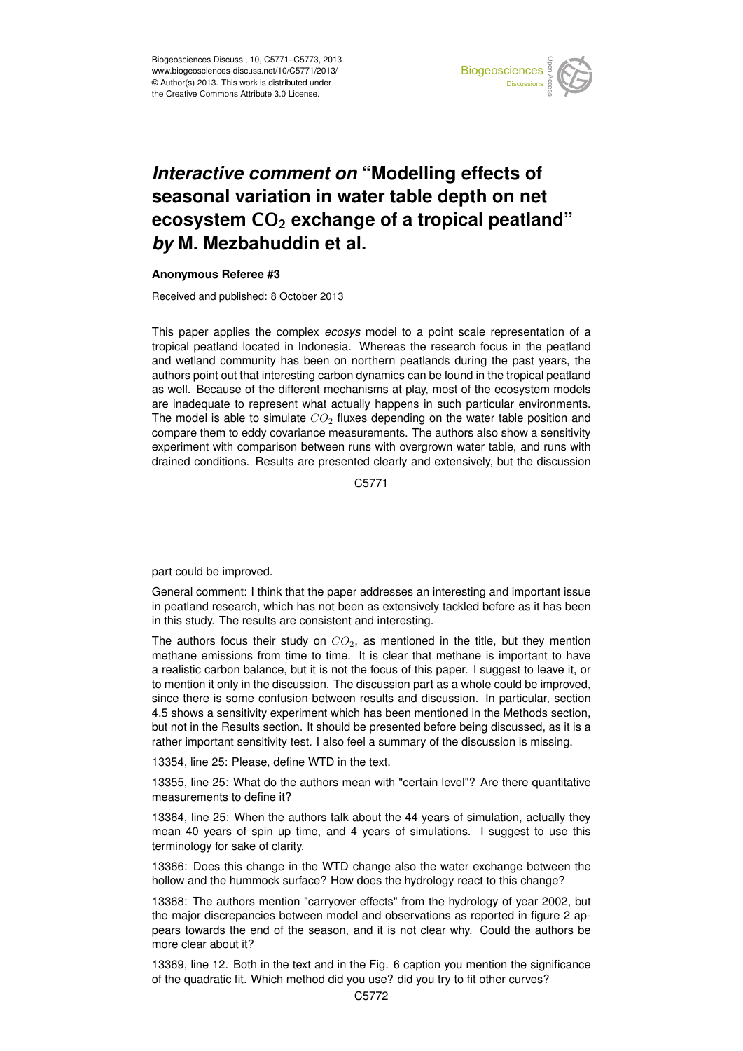

## Earth System seasonal variation in water table depth on net  $\mathbf{a}$ *Interactive comment on "Modelling effects of* **ecosystem CO<sub>2</sub> exchange of a tropical peatland"**  $dim$  of c *by* M. Mezbahuddin et al.  $\overline{a}$

## **Anonymous Referee #3**

Received and published: 8 October 2013

This paper applies the complex *ecosys* model to a point scale representation of a s<br>S ti<br>ti and wetland community has been on northern peatlands during the past years, the authors point out that interesting carbon dynamics can be found in the tropical peatland as well. Because of the different mechanisms at play, most of the ecosystem models าc<br>d<br>มา อะ<br>p<br>า are inadequate to represent what actually happens in such particular environments. compare them to eddy covariance measurements. The authors also show a sensitivity e<br>;u<br>,r اt<br>⊖<br>ت experiment with comparison between runs with overgrown water table, and runs with tropical peatland located in Indonesia. Whereas the research focus in the peatland The model is able to simulate  $CO<sub>2</sub>$  fluxes depending on the water table position and drained conditions. Results are presented clearly and extensively, but the discussion

> C<br>C C5771

part could be improved.

General comment: I think that the paper addresses an interesting and important issue in peatland research, which has not been as extensively tackled before as it has been in this study. The results are consistent and interesting.

The authors focus their study on  $CO<sub>2</sub>$ , as mentioned in the title, but they mention methane emissions from time to time. It is clear that methane is important to have a realistic carbon balance, but it is not the focus of this paper. I suggest to leave it, or to mention it only in the discussion. The discussion part as a whole could be improved, since there is some confusion between results and discussion. In particular, section 4.5 shows a sensitivity experiment which has been mentioned in the Methods section, but not in the Results section. It should be presented before being discussed, as it is a rather important sensitivity test. I also feel a summary of the discussion is missing.

13354, line 25: Please, define WTD in the text.

13355, line 25: What do the authors mean with "certain level"? Are there quantitative measurements to define it?

13364, line 25: When the authors talk about the 44 years of simulation, actually they mean 40 years of spin up time, and 4 years of simulations. I suggest to use this terminology for sake of clarity.

13366: Does this change in the WTD change also the water exchange between the hollow and the hummock surface? How does the hydrology react to this change?

13368: The authors mention "carryover effects" from the hydrology of year 2002, but the major discrepancies between model and observations as reported in figure 2 appears towards the end of the season, and it is not clear why. Could the authors be more clear about it?

13369, line 12. Both in the text and in the Fig. 6 caption you mention the significance of the quadratic fit. Which method did you use? did you try to fit other curves?